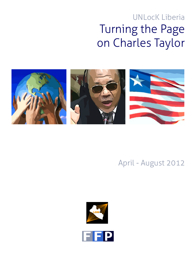# UNLocK Liberia Turning the Page on Charles Taylor



## April - August 2012



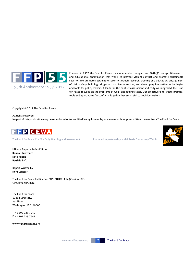

Founded in 1957, the Fund for Peace is an independent, nonpartisan, 501(c)(3) non-profit research and educational organization that works to prevent violent conflict and promote sustainable security. We promote sustainable security through research, training and education, engagement of civil society, building bridges across diverse sectors, and developing innovative technologies and tools for policy makers. A leader in the conflict assessment and early warning field, the Fund for Peace focuses on the problems of weak and failing states. Our objective is to create practical tools and approaches for conflict mitigation that are useful to decision-makers.

Copyright © 2012 The Fund for Peace.

All rights reserved. No part of this publication may be reproduced or transmitted in any form or by any means without prior written consent from The Fund for Peace.



The Fund for Peace Conflict Early Warning and Assessment Produced in partnership with Liberia Democracy Watch



UNLocK Reports Series Editors **Kendall Lawrence Nate Haken Patricia Taft**

Report Written by **Nóra Loncsár** 

The Fund for Peace Publication **FFP : CULRR1214** (Version 11F) Circulation: PUBLIC

The Fund for Peace 1720 I Street NW 7th Floor Washington, D.C. 20006

T: +1 202 223 7940 F: +1 202 223 7947

**www.fundforpeace.org**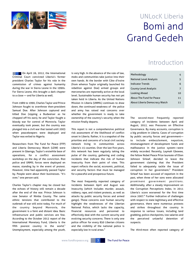

## UNLocK Liberia Bomi and Grand Gedeh

**THE On April 26, 2012, the International** Criminal Court convicted Liberia's former president Charles Taylor for his role in the commission of crimes against humanity during the war in Sierra Leone in the 1990s. For Sierra Leone, this brought a dark chapter to a close — and for Liberia as well.

From 1989 to 1990, Charles Taylor and Prince Johnson fought to overthrow then-president Samuel Doe. After Johnson captured and killed Doe (sipping a Budweiser as he chopped off his ears), he and Taylor fought a bloody war for control of Monrovia. Taylor eventually took power, but the country was plunged into a civil war that lasted until 2003 when peacekeepers were deployed and Taylor was exiled to Nigeria.

Researchers from The Fund for Peace (FFP) and Liberia Democracy Watch (LDW) were present in Gbarnga, Taylor's erstwhile base of operations, for a conflict assessment workshop on the day of the conviction. Riot police and UNMIL forces were deployed en masse, standing by in the event of protest. However, time had apparently passed Taylor by. People went about their businesses. "It's over," one person said.

Charles Taylor's chapter may be closed but the echoes of history still remain a decade after the end of the war. Prince Johnson is now Senator of Nimba County. The same ethnic tensions that contributed to the outbreak of war still exist today. For much of the country beyond Monrovia, the government is a faint and distant idea. Basic infrastructure and public services are few. According to the October 2012 report of the International Monetary Fund, Liberia is the fifth poorest country in the world. $1$ Unemployment, especially among the youth,

is very high. In the absence of the rule of law, mobs and communities take justice into their own hands. At the border with Côte d'Ivoire (from whence Taylor originally launched his rebellion against Doe) armed groups and mercenaries are reportedly active at the local level. Sustainable human security has not yet taken hold in Liberia. As the United Nations Mission in Liberia (UNMIL) continues to draw down, the continued weakness of the police and army has raised real concerns over whether the government is ready to take ownership of the country's security when the mission finally departs.

This report is not a comprehensive political risk assessment of the likelihood of conflict onset in Liberia. Rather, it is a snapshot of the priorities and concerns of a local civil society network living in communities across Liberia's 15 counties. Over the last five years, this network has been regularly taking the pulse of the country, gathering and coding incidents that indicate the risk of human insecurity from their point of view. This report reflects the social, economic, political, and security factors that must be managed for a peaceful and prosperous future.

The most frequently reported category of incidents between April and August was Insecurity (which includes murder, assault, robbery, rape, and violent protests, as well as attacks by public security forces and armed gangs). These concerns over human security highlight the weaknesses of the Liberian National Police, which lacks the capacity, financial resources and personnel to effectively deal with the current security and evolving security concerns. There is only one police officer for every 850 Liberian citizens and the visibility of the national police is especially low in rural areas.<sup>2</sup>

### Introduction

| Methodology                     |    |
|---------------------------------|----|
| <b>National Level Analysis</b>  | 5  |
| <b>Indicator Trends</b>         | 6  |
| County-Level Analysis           | 7  |
| Looking Ahead                   | 10 |
| <b>About The Fund for Peace</b> | 11 |
| About Liberia Democracy Watch   | 11 |

The second-most frequently reported category of incidents between April and August, 2012, was Pressures on Effective Governance. By many accounts, corruption is a big problem in Liberia. Cases of corruption by public security forces and government to include embezzlement, nepotism, mismanagement of development funds and malfeasance in the justice system—were widely recorded. Recently, Laymah Gbowee, the fellow Nobel Peace Prize laureate of Ellen Johnson Sirleaf, decided to leave the government claiming that the President failed to adequately tackle the issue of corruption in her government.<sup>3</sup> President Sirleaf has been accused of nepotism in the past, when three of her sons were allocated prominent government positions. Additionally, after a steady improvement on the Corruption Perceptions Index, in 2011 Liberia's score worsened for the first time since 2007.<sup>4</sup> Further indicative of challenges with respect to state legitimacy and effective governance, there were numerous protests and strikes throughout the country in response to various issues, including land grabbing, police checkpoints, low salaries and the perceived unlawful detention of suspects.

The third-most often reported category of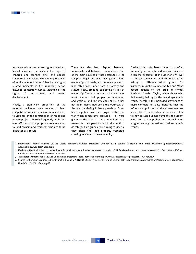incidents related to human rights violations. Sexual violence (particularly the rape of children and teenage girls) and abuses committed by teachers, were among the most often documented cases. Other human rights related incidents in this reporting period included domestic violence, violation of the rights of the accused and forced displacement.

Finally, a significant proportion of the reported incidents were related to land competition, which on several occasions led to violence. In the construction of roads and private projects there is frequently confusion over efficient and appropriate compensation to land owners and residents who are to be displaced as a result.

There are also land disputes between individuals and between communities. One of the main sources of these disputes is the complex legal systems that govern land ownership in Liberia, as the same piece of land often falls under both customary and statutory law, creating competing claims of ownership. These cases are hard to settle as most Liberians lack proper documentation and while a land registry does exist,, it has not been maintained since the outbreak of the war, rendering it largely useless. Other land disputes have their origin in the civil war, when combatants captured — or were given — the land of those who fled as a reward for their participation in the conflict. As refugees are gradually returning to Liberia, they often find their property occupied, creating tensions in the community.

Furthermore, this latter type of conflict frequently has an ethnic dimension, since given the dynamics of the Liberian civil war — the ex-combatants and returnees often belong to different ethnic groups. For instance, in Nimba County, the Gio and Mano people fought on the side of former President Charles Taylor, while those who fled mostly belong to the Mandingo ethnic group. Therefore, the increased prevalence of these conflicts not only indicates that the reforms and policies that the government has put in place to address land disputes are slow to show results, but also highlights the urgent need for a comprehensive reconciliation program among the various tribal and ethnic groups.

- 1 International Monetary Fund (2012). World Economic Outlook Database: October 2012 Edition. Retrieved from http://www.imf.org/external/pubs/ft/ weo/2012/02/weodata/index.aspx.
- 2 Mackay, M (2012, October 11). Nobel Peace Prize winner rips fellow laureate over corruption. CNN. Retrieved from http://www.cnn.com/2012/10/11/world/africa/ nobel-peace-prize-leymah-gbowee/index.html.
- 3 Transparency International (2011). Corruption Perceptions Index. Retrieved from http://www.transparency.org/research/cpi/overview.
- 4 Search for Common Ground/Talking Drum Studio and SIPRI (2011). Security Sector Reform in Liberia. Retrieved from http://www.sfcg.org/programmes/liberia/pdf/ Liberia%20SSR%20Report.pdf.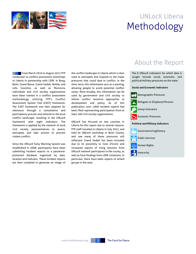

## UNLocK Liberia Methodology

From March 2010 to August 2012 FFP conducted 14 conflict assessment workshops in Liberia in partnership with LDW. In Bong, Bomi, Grand Bassa, Grand Gedeh, Nimba, and Lofa Counties, as well as Monrovia, individuals and civil society organizations have been trained in a conflict assessment methodology utilizing FFP's Conflict Assessment System Tool (CAST) framework. The CAST framework was then adapted for relevance through a consultative and participatory process and tailored to the local conflict landscape, resulting in the UNLocK framework with eight indicators. The framework is applied by the network of local civil society representatives to assess, anticipate, and take actions to prevent violent conflict.

Since the UNLocK Early Warning System was established in 2008, participants have been submitting incident reports to a passwordprotected database organized by date, location and indicator. These incident reports are then compiled to generate an image of the conflict landscape in Liberia which is then used to anticipate and respond to the major pressures that could lead to conflict. In the short term, this information acts as a warning, allowing people to avoid potential conflict zones. More broadly, this information can be used by government and civil society to inform conflict sensitive approaches to development and policy. As of this publication, over 1,800 incident reports had been filed representing participation from at least 100 civil society organizations.

UNLocK has focused on two counties in Liberia for this report due to several reasons. FFP staff traveled to Liberia in July 2012, and held an UNLocK workshop in Bomi County, and saw many of these pressures still reflected. Grand Gedeh has been included due to its proximity to Cote d'Ivoire and increased reports of rising tensions from UNLocK network participants in the county, as well as from findings from LDW visitations. In particular, there have been reports of armed groups in the area.

### About the Report

The 8 UNLocK indicators for which data is sought include social, economic, and political/military pressures on the state:

#### **Social and Economic Indicators**

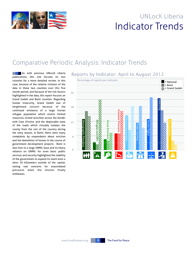

## UNLocK Liberia Indicator Trends

### Comparative Periodic Analysis: Indicator Trends

**As with previous UNLocK Liberia** publications, this one focuses on two counties for a more detailed review. In this case, because of the relative richness of the data in these two counties over this five month period, and because of the risk factors highlighted in the data, this report focuses on Grand Gedeh and Bomi counties. Regarding human insecurity, Grand Gedeh was of heightened concern because of the continued existence of a large Ivorian refugee population which strains limited resources, armed activities across the border with Cote d'Ivoire, and the deplorable state of the roads which virtually isolates the county from the rest of the country during the rainy season. In Bomi, there were many complaints by respondents about eviction and the demolition of homes in the course of government development projects . Bomi is also host to a large UNMIL base and its heavy reliance on UNMIL for even basic public services and security highlighted the inability of the government to expand its reach even a short 70 kilometers outside of the capital, raising real concerns for exacerbated pressures when the mission finally withdraws.

#### Reports by Indicator: April to August 2012

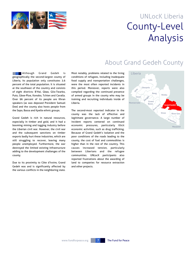

## UNLocK Liberia County-Level Analysis

#### **NORTH** Although Grand Gedeh is geographically the second-largest county of Liberia, its population only constitutes 3.6 percent of the total population. It is situated at the southeast of the country and consists of eight districts: B'Hai, Gbao, Glio-Twarbo, Puto, Gboe-Ploe, Konobo, Tchien and Cavalla. Over 96 percent of its people are Khran speakers (as was deposed President Samuel Doe) and the county also hosts people from the Sapo, Bassa and Kpelle ethnic groups.

Grand Gedeh is rich in natural resources, especially in timber and gold, and it had a booming mining and logging industry before the Liberian civil war. However, the civil war and the subsequent sanctions on timber exports badly hurt these industries, which are still struggling to recover, leaving many people unemployed. Furthermore, the war destroyed the limited existing infrastructure adding to the development challenges of the county.

Due to its proximity to Côte d'Ivoire, Grand Gedeh was and is significantly affected by the various conflicts in the neighboring state. Most notably, problems related to the living conditions of refugees, including inadequate food supply and transportation challenges, were the most often reported incidents in this period. Moreover, reports were also compiled regarding the continued presence of armed groups in the county who may be training and recruiting individuals inside of Liberia.

The second-most reported indicator in the county was the lack of effective and legitimate governance. A large number of incident reports centered on continued economic pressures, particularly illicit economic activities, such as drug trafficking. Because of Grand Gedeh's isolation and the poor conditions of the roads leading to the county, the cost of fuel and commodities is higher than in the rest of the country. This causes increased tension, particularly between Liberians and the refugee communities. UNLocK participants also reported frustrations about the awarding of land to companies for resource extraction and other projects.



### About Grand Gedeh County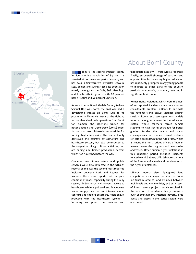

**Bomi** is the second-smallest county in Liberia with a population of 84,119. It is situated at northwestern part of country and has four administrative districts: Dowein, Klay, Senjeh and Suehn Mecca. Its population mostly belongs to the Gola, Dei, Mandingo and Kpelle ethnic groups, with 60 percent being Muslim and 40 percent Christian.

As was true in Grand Gedeh County (where Samuel Doe was born), the civil war had a devastating impact on Bomi. Due to its proximity to Monrovia, many of the fighting factions launched their operations from Bomi, for example the Liberians United for Reconciliation and Democracy (LURD) rebel faction that was ultimately responsible for forcing Taylor into exile. The war not only destroyed the county's infrastructure and healthcare system, but also contributed to the stagnation of agricultural activities, iron ore mining and timber production, sectors which had flourished before the war.

Concerns over infrastructure and public services were also reflected in the UNLocK reports, as this was the second-most reported indicator between April and August. For instance, there were reports that the poor condition of roads, especially during the rainy season, hinders trade and prevents access to healthcare, while a polluted and inadequate water supply has led to intra-communal conflicts and cholera outbreaks. Additionally, problems with the healthcare system including corruption, low salaries and

### About Bomi County

inadequate capacity — were widely reported. Finally, an overall shortage of teachers and opportunities for receiving higher education has reportedly prompted many young people to migrate to other parts of the country, particularly Monrovia, or abroad, resulting in significant brain drain.

Human rights violations, which were the most often reported incidents, constitute another considerable problem in Bomi. In line with the national trend, sexual violence against small children and teenagers was widely reported, along with cases in the education system where teachers forced female students to have sex in exchange for better grades. Besides the health and social consequences for women, sexual violence reflects a breakdown in the rule of law, which is among the most serious drivers of human insecurity over the long term and needs to be addressed. Other human rights violations in this reporting period included incidents related to child abuse, child labor, restrictions of the freedom of speech and the violation of the rights of detainees.

UNLocK reports also highlighted land competition as a major problem in Bomi. Incidents related to land disputes between individuals and communities, and as a result of infrastructure projects which resulted in the eviction of residents. Lastly, concerns over unemployment, inflation, poverty, drug abuse and biases in the justice system were also noted.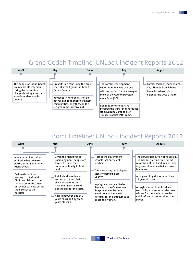### Grand Gedeh Timeline: UNLocK Incident Reports 2012



### Bomi Timeline: UNLocK Incident Reports 2012

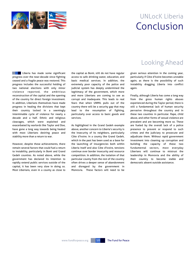

## UNLocK Liberia Conclusion

**Liberia has made some significant** progress over the near-decade since fighting ceased and a fragile peace was restored. This progress includes the successful holding of two national elections with only minor violence reported, the ambitious reconstruction of the capital and the opening of the country for direct foreign investment. In addition, Liberians themselves have made progress in healing the divisions that kept their country locked in a seemingly interminable cycle of violence for nearly a decade and a half. Ethnic and religious cleavages, which were exploited and exacerbated by warlords like Taylor and Doe, have gone a long way towards being healed with most Liberians desiring peace and stability more than a return to war.

However, despite these achievements, there remain several factors that could fuel a return to instability, particularly in Bomi and Grand Gedeh counties. As noted above, while the government has declared its intention to rapidly extend public services outside of the capital, it has been very slow in doing so. Most Liberians, even in a county as close to

the capital as Bomi, still do not have regular access to safe drinking water, education, and basic medical services. In addition, the extremely poor capacity of the police and judicial system has deeply undermined the legitimacy of the government, which more and more Liberians are coming to see as corrupt and inadequate. This leads to real fears that when UNMIL pulls out of the country there will be a security gap that may lead to the resumption of fighting, particularly over access to basic goods and services.

As highlighted in the Grand Gedeh example above, another concern to Liberia's security is the insecurity of its neighbors, particularly Côte d'Ivoire. In a county like Grand Gedeh, which in the past has been used as a base for the launching of insurgencies both within Liberia itself and also Côte d'Ivoire, tensions continue over border insecurity and resource competition. In addition, the isolation of that particular county from the rest of the country often drives a deeper sense of abandonment and disregard by the government in Monrovia. These factors will need to be

### Looking Ahead

given serious attention in the coming year, particularly if Côte d'Ivoire becomes unstable again, as there is the possibility of such instability dragging Liberia into conflict again.

Finally, although Liberia has come a long way from the gross human rights abuses experienced during the Taylor period, there is still a fundamental lack of human security pervasive throughout the country and in these two counties in particular. Rape, child abuse, and other forms of sexual violence are prevalent and are becoming more so. These are fueled by the overall lack of a police presence to prevent or respond to such crimes and the judiciary to prosecute and adjudicate them. Without rapid government investment into cleaning up corruption and building the capacity of these two fundamental sectors, most everyday Liberians will continue to mistrust the leadership in Monrovia and the ability of their country to become stable and democratic absent outside assistance.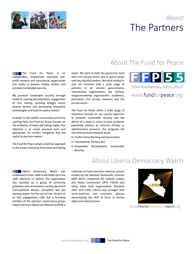



## About The Fund for Peace

**The Fund for Peace is an** independent, nonpartisan, 501(c)(3) nonprofit research and educational organization that works to prevent violent conflict and promote sustainable security.

We promote sustainable security through research, training and education, engagement of civil society, building bridges across diverse sectors, and developing innovative technologies and tools for policy makers.

A leader in the conflict assessment and early warning field, the Fund for Peace focuses on the problems of weak and failing states. Our objective is to create practical tools and approaches for conflict mitigation that are useful to decision-makers.

The Fund for Peace adopts a holistic approach to the issues stemming from weak and failing states. We work at both the grassroots level with civil society actors and at policy levels with key decision makers. We have worked in over 50 countries with a wide range of partners in all sectors: governments, international organizations, the military, nongovernmental organizations, academics, journalists, civil society networks, and the private sector.

The Fund for Peace offers a wide range of initiatives focused on our central objective: to promote sustainable security and the ability of a state to solve its own problems peacefully without an external military or administrative presence. Our programs fall into three primary thematic areas:

- Conflict Early Warning and Assessment;
- Transnational Threats; and
- Sustainable Development, Sustainable Security.



55th Anniversary 1957-2012

www.fundforpeace.org

### About Liberia Democracy Watch

**Liberia Democracy Watch was** established in late 1996 in the build up to the 1997 elections in Liberia. The organization was founded by a group of university graduates who envisioned a society devoid of socio-political abuses, corruption and the waning respect for the rule of law. As part of its first engagement, LDW was a founding member of the elections observatory group: Liberia Elections Observers Network (LEON), a

collection of local elections observer groups funded by the National Democratic Institute (NDI) which comprised the Catholic Justice and Peace Commission (JPC), FOCUS and many other local organizations. Between 1997 and 2005, Liberia was wrought with socio-political and economic abuses necessitating the shift of focus to human rights and related issues.



www.liberiademocracywatch.org